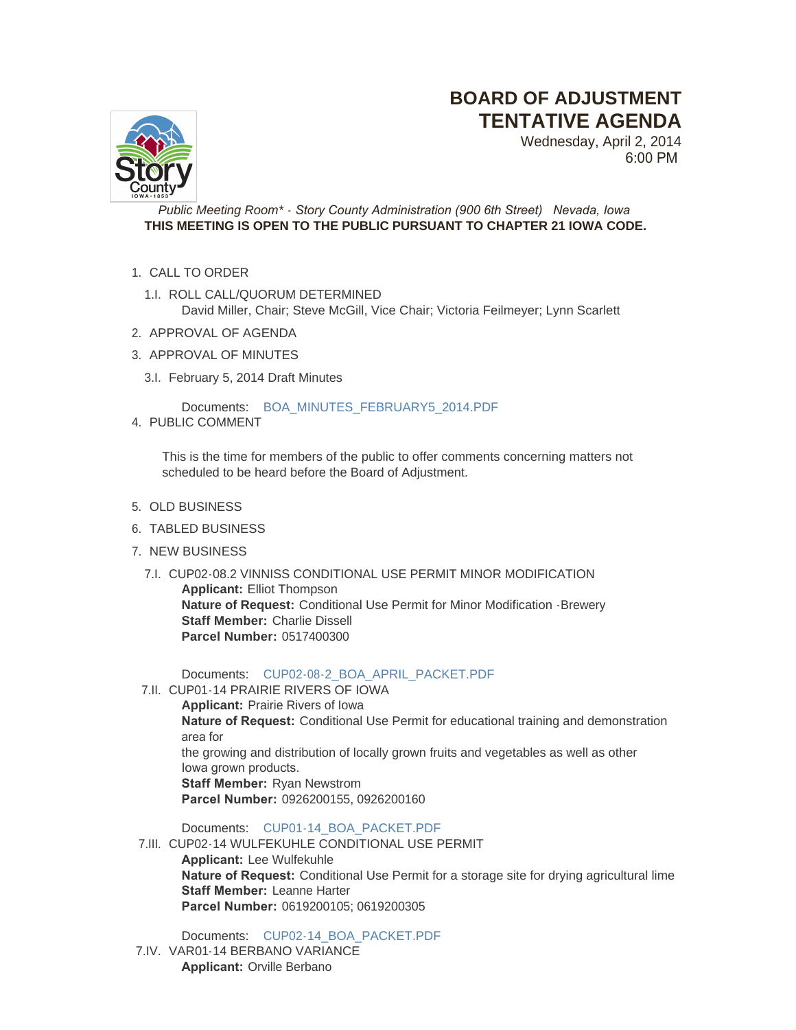## **BOARD OF ADJUSTMENT TENTATIVE AGENDA**



Wednesday, April 2, 2014 6:00 PM

*Public Meeting Room\* - Story County Administration (900 6th Street) Nevada, Iowa* **THIS MEETING IS OPEN TO THE PUBLIC PURSUANT TO CHAPTER 21 IOWA CODE.**

- 1. CALL TO ORDER
	- 1.I. ROLL CALL/QUORUM DETERMINED David Miller, Chair; Steve McGill, Vice Chair; Victoria Feilmeyer; Lynn Scarlett
- 2. APPROVAL OF AGENDA
- 3. APPROVAL OF MINUTES
	- 3.I. February 5, 2014 Draft Minutes

Documents: [BOA\\_MINUTES\\_FEBRUARY5\\_2014.PDF](http://www.storycountyiowa.gov/AgendaCenter/ViewFile/Item/2961?fileID=2196)

4. PUBLIC COMMENT

This is the time for members of the public to offer comments concerning matters not scheduled to be heard before the Board of Adjustment.

- 5. OLD BUSINESS
- 6. TABLED BUSINESS
- 7. NEW BUSINESS
	- 7.I. CUP02-08.2 VINNISS CONDITIONAL USE PERMIT MINOR MODIFICATION **Applicant:** Elliot Thompson **Nature of Request:** Conditional Use Permit for Minor Modification -Brewery **Staff Member: Charlie Dissell Parcel Number:** 0517400300

Documents: [CUP02-08-2\\_BOA\\_APRIL\\_PACKET.PDF](http://www.storycountyiowa.gov/AgendaCenter/ViewFile/Item/2960?fileID=2243)

7.II. CUP01-14 PRAIRIE RIVERS OF IOWA

**Applicant:** Prairie Rivers of Iowa **Nature of Request:** Conditional Use Permit for educational training and demonstration area for the growing and distribution of locally grown fruits and vegetables as well as other Iowa grown products. **Staff Member:** Ryan Newstrom **Parcel Number:** 0926200155, 0926200160

Documents: [CUP01-14\\_BOA\\_PACKET.PDF](http://www.storycountyiowa.gov/AgendaCenter/ViewFile/Item/2885?fileID=2242)

7.III. CUP02-14 WULFEKUHLE CONDITIONAL USE PERMIT **Applicant:** Lee Wulfekuhle **Nature of Request:** Conditional Use Permit for a storage site for drying agricultural lime **Staff Member:** Leanne Harter **Parcel Number:** 0619200105; 0619200305

Documents: [CUP02-14\\_BOA\\_PACKET.PDF](http://www.storycountyiowa.gov/AgendaCenter/ViewFile/Item/2886?fileID=2239)

7.IV. VAR01-14 BERBANO VARIANCE **Applicant:** Orville Berbano